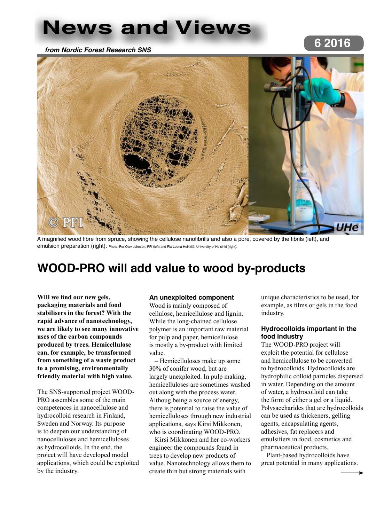## **News and Views**

*from Nordic Forest Research SNS*

# **6 2016**



A magnified wood fibre from spruce, showing the cellulose nanofibrills and also a pore, covered by the fibrils (left), and emulsion preparation (right). Photo: Per Olav Johnsen, PFI (left) and Pia-Leena Heikkilä, University of Helsinki (right)

## **WOOD-PRO will add value to wood by-products**

**Will we find our new gels, packaging materials and food stabilisers in the forest? With the rapid advance of nanotechnology, we are likely to see many innovative uses of the carbon compounds produced by trees. Hemicellulose can, for example, be transformed from something of a waste product to a promising, environmentally friendly material with high value.**

The SNS-supported project WOOD-PRO assembles some of the main competences in nanocellulose and hydrocolloid research in Finland, Sweden and Norway. Its purpose is to deepen our understanding of nanocelluloses and hemicelluloses as hydrocolloids. In the end, the project will have developed model applications, which could be exploited by the industry.

#### **An unexploited component**

Wood is mainly composed of cellulose, hemicellulose and lignin. While the long-chained cellulose polymer is an important raw material for pulp and paper, hemicellulose is mostly a by-product with limited value.

– Hemicelluloses make up some 30% of conifer wood, but are largely unexploited. In pulp making, hemicelluloses are sometimes washed out along with the process water. Althoug being a source of energy, there is potential to raise the value of hemicelluloses through new industrial applications, says Kirsi Mikkonen, who is coordinating WOOD-PRO.

Kirsi Mikkonen and her co-workers engineer the compounds found in trees to develop new products of value. Nanotechnology allows them to create thin but strong materials with

unique characteristics to be used, for example, as films or gels in the food industry.

#### **Hydrocolloids important in the food industry**

The WOOD-PRO project will exploit the potential for cellulose and hemicellulose to be converted to hydrocolloids. Hydrocolloids are hydrophilic colloid particles dispersed in water. Depending on the amount of water, a hydrocolloid can take the form of either a gel or a liquid. Polysaccharides that are hydrocolloids can be used as thickeners, gelling agents, encapsulating agents, adhesives, fat replacers and emulsifiers in food, cosmetics and pharmaceutical products.

Plant-based hydrocolloids have great potential in many applications.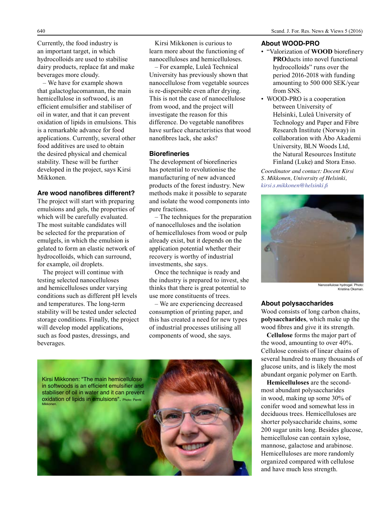Currently, the food industry is an important target, in which hydrocolloids are used to stabilise dairy products, replace fat and make beverages more cloudy.

– We have for example shown that galactoglucomannan, the main hemicellulose in softwood, is an efficient emulsifier and stabiliser of oil in water, and that it can prevent oxidation of lipids in emulsions. This is a remarkable advance for food applications. Currently, several other food additives are used to obtain the desired physical and chemical stability. These will be further developed in the project, says Kirsi Mikkonen.

#### **Are wood nanofibres different?**

The project will start with preparing emulsions and gels, the properties of which will be carefully evaluated. The most suitable candidates will be selected for the preparation of emulgels, in which the emulsion is gelated to form an elastic network of hydrocolloids, which can surround, for example, oil droplets.

The project will continue with testing selected nanocelluloses and hemicelluloses under varying conditions such as different pH levels and temperatures. The long-term stability will be tested under selected storage conditions. Finally, the project will develop model applications, such as food pastes, dressings, and beverages.

Kirsi Mikkonen is curious to learn more about the functioning of nanocelluloses and hemicelluloses.

– For example, Luleå Technical University has previously shown that nanocellulose from vegetable sources is re-dispersible even after drying. This is not the case of nanocellulose from wood, and the project will investigate the reason for this difference. Do vegetable nanofibres have surface characteristics that wood nanofibres lack, she asks?

#### **Biorefineries**

The development of biorefineries has potential to revolutionise the manufacturing of new advanced products of the forest industry. New methods make it possible to separate and isolate the wood components into pure fractions.

– The techniques for the preparation of nanocelluloses and the isolation of hemicelluloses from wood or pulp already exist, but it depends on the application potential whether their recovery is worthy of industrial investments, she says.

Once the technique is ready and the industry is prepared to invest, she thinks that there is great potential to use more constituents of trees.

– We are experiencing decreased consumption of printing paper, and this has created a need for new types of industrial processes utilising all components of wood, she says.



#### **About WOOD-PRO**

- "Valorization of **WOOD** biorefinery **PRO**ducts into novel functional hydrocolloids" runs over the period 2016-2018 with funding amounting to 500 000 SEK/year from SNS.
- WOOD-PRO is a cooperation between University of Helsinki, Luleå University of Technology and Paper and Fibre Research Institute (Norway) in collaboration with Åbo Akademi University, BLN Woods Ltd, the Natural Resources Institute Finland (Luke) and Stora Enso.

*Coordinator and contact: Docent Kirsi S. Mikkonen, University of Helsinki, kirsi.s.mikkonen@helsinki.fi*



Nanocellulose hydrogel. Photo: Kristiina Oksman.

#### **About polysaccharides**

Wood consists of long carbon chains, **polysaccharides**, which make up the wood fibres and give it its strength.

**Cellulose** forms the major part of the wood, amounting to over 40%. Cellulose consists of linear chains of several hundred to many thousands of glucose units, and is likely the most abundant organic polymer on Earth.

**Hemicelluloses** are the secondmost abundant polysaccharides in wood, making up some 30% of conifer wood and somewhat less in deciduous trees. Hemicelluloses are shorter polysaccharide chains, some 200 sugar units long. Besides glucose, hemicellulose can contain xylose, mannose, galactose and arabinose. Hemicelluloses are more randomly organized compared with cellulose and have much less strength.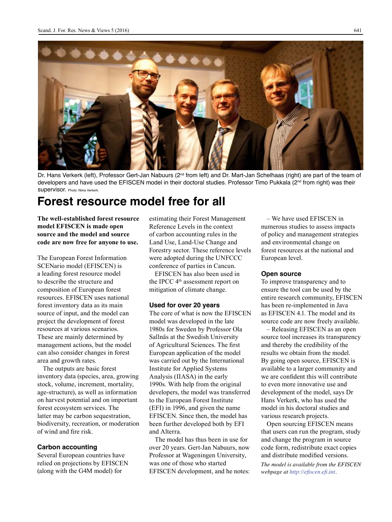

Dr. Hans Verkerk (left), Professor Gert-Jan Nabuurs (2<sup>nd</sup> from left) and Dr. Mart-Jan Schelhaas (right) are part of the team of developers and have used the EFISCEN model in their doctoral studies. Professor Timo Pukkala (2nd from right) was their SUDETVISOF. Photo: Niina Verkerk.

## **Forest resource model free for all**

**The well-established forest resource model EFISCEN is made open source and the model and source code are now free for anyone to use.** 

The European Forest Information SCENario model (EFISCEN) is a leading forest resource model to describe the structure and composition of European forest resources. EFISCEN uses national forest inventory data as its main source of input, and the model can project the development of forest resources at various scenarios. These are mainly determined by management actions, but the model can also consider changes in forest area and growth rates.

The outputs are basic forest inventory data (species, area, growing stock, volume, increment, mortality, age-structure), as well as information on harvest potential and on important forest ecosystem services. The latter may be carbon sequestration, biodiversity, recreation, or moderation of wind and fire risk.

#### **Carbon accounting**

Several European countries have relied on projections by EFISCEN (along with the G4M model) for

estimating their Forest Management Reference Levels in the context of carbon accounting rules in the Land Use, Land-Use Change and Forestry sector. These reference levels were adopted during the UNFCCC conference of parties in Cancun.

EFISCEN has also been used in the IPCC 4<sup>th</sup> assessment report on mitigation of climate change.

#### **Used for over 20 years**

The core of what is now the EFISCEN model was developed in the late 1980s for Sweden by Professor Ola Sallnäs at the Swedish University of Agricultural Sciences. The first European application of the model was carried out by the International Institute for Applied Systems Analysis (IIASA) in the early 1990s. With help from the original developers, the model was transferred to the European Forest Institute (EFI) in 1996, and given the name EFISCEN. Since then, the model has been further developed both by EFI and Alterra.

The model has thus been in use for over 20 years. Gert-Jan Nabuurs, now Professor at Wageningen University, was one of those who started EFISCEN development, and he notes:

– We have used EFISCEN in numerous studies to assess impacts of policy and management strategies and environmental change on forest resources at the national and European level.

#### **Open source**

To improve transparency and to ensure the tool can be used by the entire research community, EFISCEN has been re-implemented in Java as EFISCEN 4.1. The model and its source code are now freely available.

– Releasing EFISCEN as an open source tool increases its transparency and thereby the credibility of the results we obtain from the model. By going open source, EFISCEN is available to a larger community and we are confident this will contribute to even more innovative use and development of the model, says Dr Hans Verkerk, who has used the model in his doctoral studies and various research projects.

Open sourcing EFISCEN means that users can run the program, study and change the program in source code form, redistribute exact copies and distribute modified versions.

*The model is available from the EFISCEN webpage at http://efiscen.efi.int.*